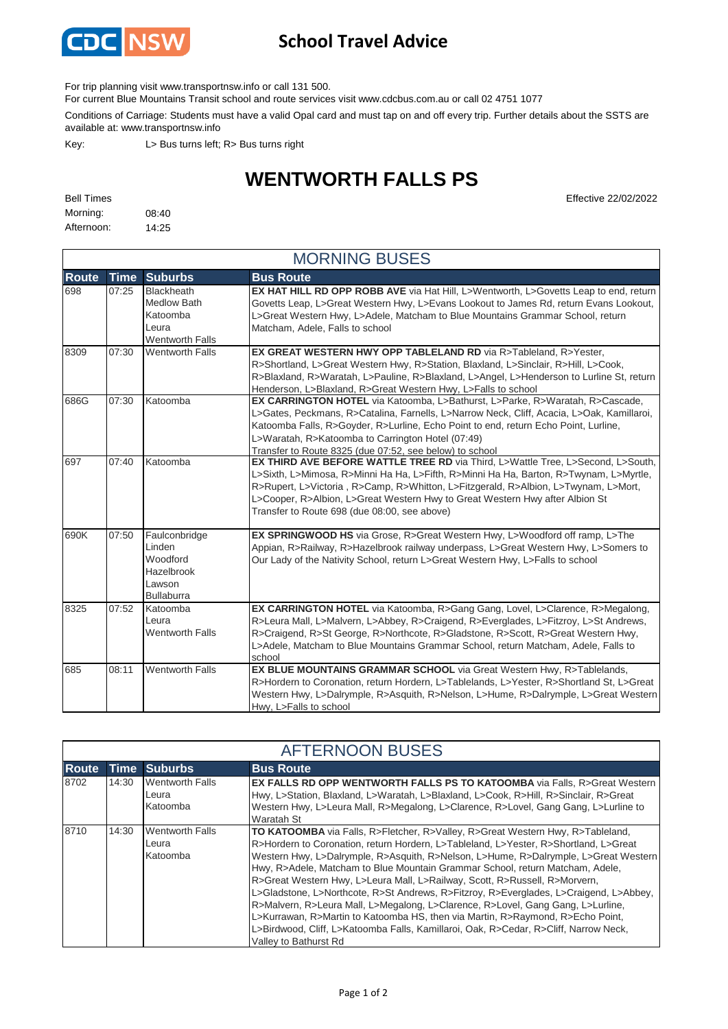

## **School Travel Advice**

For trip planning visit www.transportnsw.info or call 131 500.

For current Blue Mountains Transit school and route services visit www.cdcbus.com.au or call 02 4751 1077

Conditions of Carriage: Students must have a valid Opal card and must tap on and off every trip. Further details about the SSTS are available at: www.transportnsw.info

Key: L> Bus turns left; R> Bus turns right

## **WENTWORTH FALLS PS**

| <b>Bell Times</b> |       |
|-------------------|-------|
| Morning:          | 08:40 |
| Afternoon:        | 14:25 |

**Effective 22/02/2022** 

| <b>MORNING BUSES</b> |             |                                                                                        |                                                                                                                                                                                                                                                                                                                                                                                                                |  |
|----------------------|-------------|----------------------------------------------------------------------------------------|----------------------------------------------------------------------------------------------------------------------------------------------------------------------------------------------------------------------------------------------------------------------------------------------------------------------------------------------------------------------------------------------------------------|--|
| <b>Route</b>         | <b>Time</b> | <b>Suburbs</b>                                                                         | <b>Bus Route</b>                                                                                                                                                                                                                                                                                                                                                                                               |  |
| 698                  | 07:25       | <b>Blackheath</b><br><b>Medlow Bath</b><br>Katoomba<br>Leura<br><b>Wentworth Falls</b> | <b>EX HAT HILL RD OPP ROBB AVE</b> via Hat Hill, L>Wentworth, L>Govetts Leap to end, return<br>Govetts Leap, L>Great Western Hwy, L>Evans Lookout to James Rd, return Evans Lookout,<br>L>Great Western Hwy, L>Adele, Matcham to Blue Mountains Grammar School, return<br>Matcham, Adele, Falls to school                                                                                                      |  |
| 8309                 | 07:30       | <b>Wentworth Falls</b>                                                                 | EX GREAT WESTERN HWY OPP TABLELAND RD via R>Tableland, R>Yester,<br>R>Shortland, L>Great Western Hwy, R>Station, Blaxland, L>Sinclair, R>Hill, L>Cook,<br>R>Blaxland, R>Waratah, L>Pauline, R>Blaxland, L>Angel, L>Henderson to Lurline St, return<br>Henderson, L>Blaxland, R>Great Western Hwy, L>Falls to school                                                                                            |  |
| 686G                 | 07:30       | Katoomba                                                                               | EX CARRINGTON HOTEL via Katoomba, L>Bathurst, L>Parke, R>Waratah, R>Cascade,<br>L>Gates, Peckmans, R>Catalina, Farnells, L>Narrow Neck, Cliff, Acacia, L>Oak, Kamillaroi,<br>Katoomba Falls, R>Goyder, R>Lurline, Echo Point to end, return Echo Point, Lurline,<br>L>Waratah, R>Katoomba to Carrington Hotel (07:49)<br>Transfer to Route 8325 (due 07:52, see below) to school                               |  |
| 697                  | 07:40       | Katoomba                                                                               | <b>EX THIRD AVE BEFORE WATTLE TREE RD via Third, L&gt;Wattle Tree, L&gt;Second, L&gt;South,</b><br>L>Sixth, L>Mimosa, R>Minni Ha Ha, L>Fifth, R>Minni Ha Ha, Barton, R>Twynam, L>Myrtle,<br>R>Rupert, L>Victoria, R>Camp, R>Whitton, L>Fitzgerald, R>Albion, L>Twynam, L>Mort,<br>L>Cooper, R>Albion, L>Great Western Hwy to Great Western Hwy after Albion St<br>Transfer to Route 698 (due 08:00, see above) |  |
| 690K                 | 07:50       | Faulconbridge<br>Linden<br>Woodford<br>Hazelbrook<br>Lawson<br><b>Bullaburra</b>       | EX SPRINGWOOD HS via Grose, R>Great Western Hwy, L>Woodford off ramp, L>The<br>Appian, R>Railway, R>Hazelbrook railway underpass, L>Great Western Hwy, L>Somers to<br>Our Lady of the Nativity School, return L>Great Western Hwy, L>Falls to school                                                                                                                                                           |  |
| 8325                 | 07:52       | Katoomba<br>Leura<br><b>Wentworth Falls</b>                                            | EX CARRINGTON HOTEL via Katoomba, R>Gang Gang, Lovel, L>Clarence, R>Megalong,<br>R>Leura Mall, L>Malvern, L>Abbey, R>Craigend, R>Everglades, L>Fitzroy, L>St Andrews,<br>R>Craigend, R>St George, R>Northcote, R>Gladstone, R>Scott, R>Great Western Hwy,<br>L>Adele, Matcham to Blue Mountains Grammar School, return Matcham, Adele, Falls to<br>school                                                      |  |
| 685                  | 08:11       | <b>Wentworth Falls</b>                                                                 | EX BLUE MOUNTAINS GRAMMAR SCHOOL via Great Western Hwy, R>Tablelands,<br>R>Hordern to Coronation, return Hordern, L>Tablelands, L>Yester, R>Shortland St, L>Great<br>Western Hwy, L>Dalrymple, R>Asquith, R>Nelson, L>Hume, R>Dalrymple, L>Great Western<br>Hwy, L>Falls to school                                                                                                                             |  |

| <b>AFTERNOON BUSES</b> |       |                                             |                                                                                                                                                                                                                                                                                                                                                                                                                                                                                                                                                                                                                                                                                                                                                                                                                    |  |
|------------------------|-------|---------------------------------------------|--------------------------------------------------------------------------------------------------------------------------------------------------------------------------------------------------------------------------------------------------------------------------------------------------------------------------------------------------------------------------------------------------------------------------------------------------------------------------------------------------------------------------------------------------------------------------------------------------------------------------------------------------------------------------------------------------------------------------------------------------------------------------------------------------------------------|--|
| <b>Route</b>           |       | Time Suburbs                                | <b>Bus Route</b>                                                                                                                                                                                                                                                                                                                                                                                                                                                                                                                                                                                                                                                                                                                                                                                                   |  |
| 8702                   | 14:30 | <b>Wentworth Falls</b><br>Leura<br>Katoomba | <b>EX FALLS RD OPP WENTWORTH FALLS PS TO KATOOMBA via Falls, R&gt;Great Western</b><br>Hwy, L>Station, Blaxland, L>Waratah, L>Blaxland, L>Cook, R>Hill, R>Sinclair, R>Great<br>Western Hwy, L>Leura Mall, R>Megalong, L>Clarence, R>Lovel, Gang Gang, L>Lurline to<br>Waratah St                                                                                                                                                                                                                                                                                                                                                                                                                                                                                                                                   |  |
| 8710                   | 14:30 | <b>Wentworth Falls</b><br>Leura<br>Katoomba | <b>TO KATOOMBA</b> via Falls, R>Fletcher, R>Valley, R>Great Western Hwy, R>Tableland,<br>R>Hordern to Coronation, return Hordern, L>Tableland, L>Yester, R>Shortland, L>Great<br>Western Hwy, L>Dalrymple, R>Asquith, R>Nelson, L>Hume, R>Dalrymple, L>Great Western<br>Hwy, R>Adele, Matcham to Blue Mountain Grammar School, return Matcham, Adele,<br>R>Great Western Hwy, L>Leura Mall, L>Railway, Scott, R>Russell, R>Morvern,<br>L>Gladstone, L>Northcote, R>St Andrews, R>Fitzroy, R>Everglades, L>Craigend, L>Abbey,<br>R>Malvern, R>Leura Mall, L>Megalong, L>Clarence, R>Lovel, Gang Gang, L>Lurline,<br>L>Kurrawan, R>Martin to Katoomba HS, then via Martin, R>Raymond, R>Echo Point,<br>L>Birdwood, Cliff, L>Katoomba Falls, Kamillaroi, Oak, R>Cedar, R>Cliff, Narrow Neck,<br>Valley to Bathurst Rd |  |